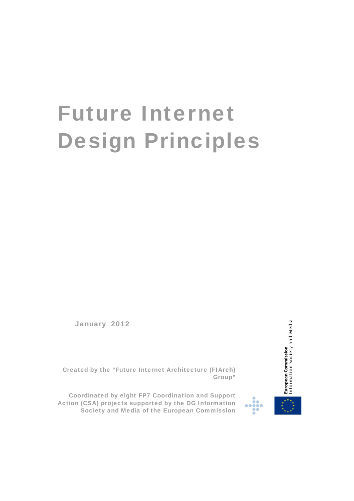# Future Internet Design Principles

January 2012



Created by the "Future Internet Architecture (FIArch) Group"

 Coordinated by eight FP7 Coordination and Support Action (CSA) projects supported by the DG Information Society and Media of the European Commission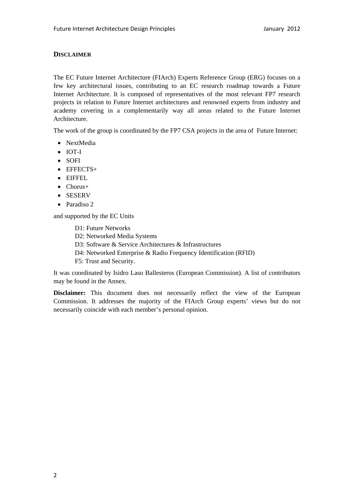# **DISCLAIMER**

The EC Future Internet Architecture (FIArch) Experts Reference Group (ERG) focuses on a few key architectural issues, contributing to an EC research roadmap towards a Future Internet Architecture. It is composed of representatives of the most relevant FP7 research projects in relation to Future Internet architectures and renowned experts from industry and academy covering in a complementarily way all areas related to the Future Internet Architecture.

The work of the group is coordinated by the FP7 CSA projects in the area of Future Internet:

- NextMedia
- IOT-I
- SOFI
- EFFECTS+
- EIFFEL
- Chorus+
- SESERV
- Paradiso 2

and supported by the EC Units

D1: Future Networks D2: Networked Media Systems D3: Software & Service Architectures & Infrastructures D4: Networked Enterprise & Radio Frequency Identification (RFID) F5: Trust and Security.

It was coordinated by Isidro Laso Ballesteros (European Commission). A list of contributors may be found in the Annex.

**Disclaimer:** This document does not necessarily reflect the view of the European Commission. It addresses the majority of the FIArch Group experts' views but do not necessarily coincide with each member's personal opinion.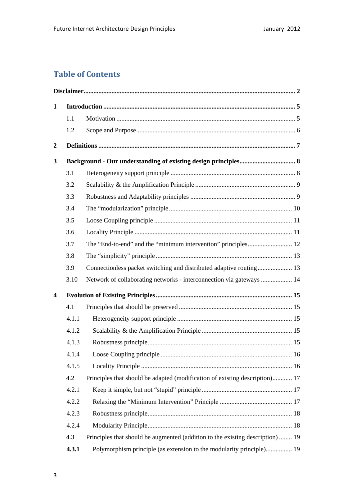# **Table of Contents**

| $\mathbf{1}$            |       |                                                                                |  |
|-------------------------|-------|--------------------------------------------------------------------------------|--|
|                         | 1.1   |                                                                                |  |
|                         | 1.2   |                                                                                |  |
| $\boldsymbol{2}$        |       |                                                                                |  |
| 3                       |       |                                                                                |  |
|                         | 3.1   |                                                                                |  |
|                         | 3.2   |                                                                                |  |
|                         | 3.3   |                                                                                |  |
|                         | 3.4   |                                                                                |  |
|                         | 3.5   |                                                                                |  |
|                         | 3.6   |                                                                                |  |
|                         | 3.7   |                                                                                |  |
|                         | 3.8   |                                                                                |  |
|                         | 3.9   | Connectionless packet switching and distributed adaptive routing 13            |  |
|                         | 3.10  | Network of collaborating networks - interconnection via gateways  14           |  |
| $\overline{\mathbf{4}}$ |       |                                                                                |  |
|                         | 4.1   |                                                                                |  |
|                         | 4.1.1 |                                                                                |  |
|                         | 4.1.2 |                                                                                |  |
|                         | 4.1.3 |                                                                                |  |
|                         | 4.1.4 |                                                                                |  |
|                         | 4.1.5 |                                                                                |  |
|                         | 4.2   | Principles that should be adapted (modification of existing description) 17    |  |
|                         | 4.2.1 |                                                                                |  |
|                         | 4.2.2 |                                                                                |  |
|                         | 4.2.3 |                                                                                |  |
|                         | 4.2.4 |                                                                                |  |
|                         | 4.3   | Principles that should be augmented (addition to the existing description)  19 |  |
|                         | 4.3.1 | Polymorphism principle (as extension to the modularity principle) 19           |  |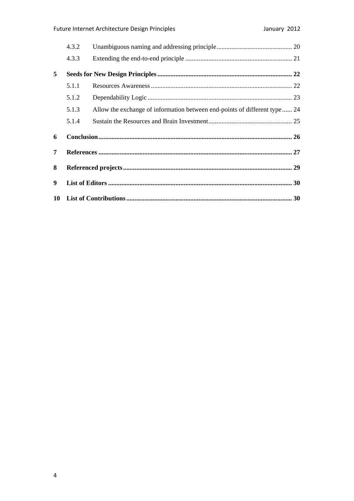|   | 4.3.2 |                                                                           |  |
|---|-------|---------------------------------------------------------------------------|--|
|   | 4.3.3 |                                                                           |  |
| 5 |       |                                                                           |  |
|   | 5.1.1 |                                                                           |  |
|   | 5.1.2 |                                                                           |  |
|   | 5.1.3 | Allow the exchange of information between end-points of different type 24 |  |
|   | 5.1.4 |                                                                           |  |
| 6 |       |                                                                           |  |
| 7 |       |                                                                           |  |
| 8 |       |                                                                           |  |
| 9 |       |                                                                           |  |
|   |       |                                                                           |  |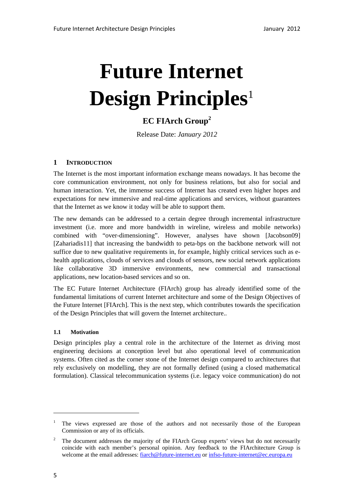# **Future Internet Design Principles**<sup>1</sup>

# **EC FIArch Group<sup>2</sup>**

Release Date: *January 2012*

# **1 INTRODUCTION**

The Internet is the most important information exchange means nowadays. It has become the core communication environment, not only for business relations, but also for social and human interaction. Yet, the immense success of Internet has created even higher hopes and expectations for new immersive and real-time applications and services, without guarantees that the Internet as we know it today will be able to support them.

The new demands can be addressed to a certain degree through incremental infrastructure investment (i.e. more and more bandwidth in wireline, wireless and mobile networks) combined with "over-dimensioning". However, analyses have shown [Jacobson09] [Zahariadis11] that increasing the bandwidth to peta-bps on the backbone network will not suffice due to new qualitative requirements in, for example, highly critical services such as ehealth applications, clouds of services and clouds of sensors, new social network applications like collaborative 3D immersive environments, new commercial and transactional applications, new location-based services and so on.

The EC Future Internet Architecture (FIArch) group has already identified some of the fundamental limitations of current Internet architecture and some of the Design Objectives of the Future Internet [FIArch]. This is the next step, which contributes towards the specification of the Design Principles that will govern the Internet architecture..

# **1.1 Motivation**

Design principles play a central role in the architecture of the Internet as driving most engineering decisions at conception level but also operational level of communication systems. Often cited as the corner stone of the Internet design compared to architectures that rely exclusively on modelling, they are not formally defined (using a closed mathematical formulation). Classical telecommunication systems (i.e. legacy voice communication) do not

-

<sup>1</sup> The views expressed are those of the authors and not necessarily those of the European Commission or any of its officials.

<sup>2</sup> The document addresses the majority of the FIArch Group experts' views but do not necessarily coincide with each member's personal opinion. Any feedback to the FIArchitecture Group is welcome at the email addresses: fiarch@future-internet.eu or infso-future-internet@ec.europa.eu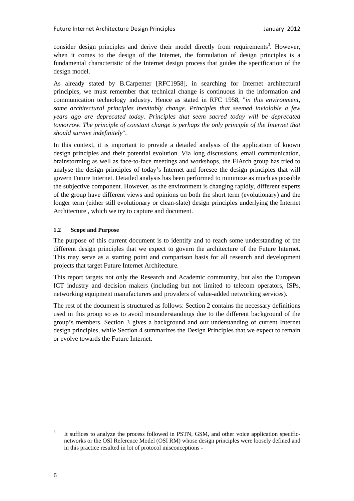consider design principles and derive their model directly from requirements<sup>3</sup>. However, when it comes to the design of the Internet, the formulation of design principles is a fundamental characteristic of the Internet design process that guides the specification of the design model.

As already stated by B.Carpenter [RFC1958], in searching for Internet architectural principles, we must remember that technical change is continuous in the information and communication technology industry. Hence as stated in RFC 1958, "*in this environment, some architectural principles inevitably change. Principles that seemed inviolable a few years ago are deprecated today. Principles that seem sacred today will be deprecated tomorrow. The principle of constant change is perhaps the only principle of the Internet that should survive indefinitely*".

In this context, it is important to provide a detailed analysis of the application of known design principles and their potential evolution. Via long discussions, email communication, brainstorming as well as face-to-face meetings and workshops, the FIArch group has tried to analyse the design principles of today's Internet and foresee the design principles that will govern Future Internet. Detailed analysis has been performed to minimize as much as possible the subjective component. However, as the environment is changing rapidly, different experts of the group have different views and opinions on both the short term (evolutionary) and the longer term (either still evolutionary or clean-slate) design principles underlying the Internet Architecture , which we try to capture and document.

## **1.2 Scope and Purpose**

The purpose of this current document is to identify and to reach some understanding of the different design principles that we expect to govern the architecture of the Future Internet. This may serve as a starting point and comparison basis for all research and development projects that target Future Internet Architecture.

This report targets not only the Research and Academic community, but also the European ICT industry and decision makers (including but not limited to telecom operators, ISPs, networking equipment manufacturers and providers of value-added networking services).

The rest of the document is structured as follows: Section 2 contains the necessary definitions used in this group so as to avoid misunderstandings due to the different background of the group's members. Section 3 gives a background and our understanding of current Internet design principles, while Section 4 summarizes the Design Principles that we expect to remain or evolve towards the Future Internet.

<sup>3</sup> It suffices to analyze the process followed in PSTN, GSM, and other voice application specificnetworks or the OSI Reference Model (OSI RM) whose design principles were loosely defined and in this practice resulted in lot of protocol misconceptions -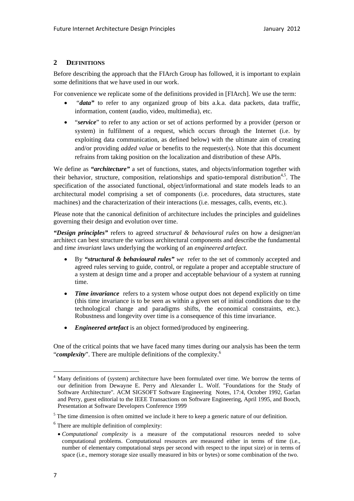# **2 DEFINITIONS**

Before describing the approach that the FIArch Group has followed, it is important to explain some definitions that we have used in our work.

For convenience we replicate some of the definitions provided in [FIArch]. We use the term:

- "*data"* to refer to any organized group of bits a.k.a. data packets, data traffic, information, content (audio, video, multimedia), etc.
- "*service*" to refer to any action or set of actions performed by a provider (person or system) in fulfilment of a request, which occurs through the Internet (i.e. by exploiting data communication, as defined below) with the ultimate aim of creating and/or providing *added value* or benefits to the requester(s). Note that this document refrains from taking position on the localization and distribution of these APIs.

We define as *"architecture"* a set of functions, states, and objects/information together with their behavior, structure, composition, relationships and spatio-temporal distribution<sup>4,5</sup>. The specification of the associated functional, object/informational and state models leads to an architectural model comprising a set of components (i.e. procedures, data structures, state machines) and the characterization of their interactions (i.e. messages, calls, events, etc.).

Please note that the canonical definition of architecture includes the principles and guidelines governing their design and evolution over time.

*"Design principles"* refers to agreed *structural & behavioural rules* on how a designer/an architect can best structure the various architectural components and describe the fundamental and *time invariant* laws underlying the working of an *engineered artefact*.

- By *"structural & behavioural rules" we* refer to the set of commonly accepted and agreed rules serving to guide, control, or regulate a proper and acceptable structure of a system at design time and a proper and acceptable behaviour of a system at running time.
- *Time invariance* refers to a system whose output does not depend explicitly on time (this time invariance is to be seen as within a given set of initial conditions due to the technological change and paradigms shifts, the economical constraints, etc.). Robustness and longevity over time is a consequence of this time invariance.
- *Engineered artefact* is an object formed/produced by engineering.

One of the critical points that we have faced many times during our analysis has been the term "*complexity*". There are multiple definitions of the complexity.6

<sup>&</sup>lt;sup>4</sup> Many definitions of (system) architecture have been formulated over time. We borrow the terms of our definition from Dewayne E. Perry and Alexander L. Wolf. "Foundations for the Study of Software Architecture''. ACM SIGSOFT Software Engineering Notes, 17:4, October 1992, Garlan and Perry, guest editorial to the IEEE Transactions on Software Engineering, April 1995, and Booch, Presentation at Software Developers Conference 1999

 $<sup>5</sup>$  The time dimension is often omitted we include it here to keep a generic nature of our definition.</sup>

 $6$  There are multiple definition of complexity:

*Computational complexity* is a measure of the computational resources needed to solve computational problems. Computational resources are measured either in terms of time (i.e., number of elementary computational steps per second with respect to the input size) or in terms of space (i.e., memory storage size usually measured in bits or bytes) or some combination of the two.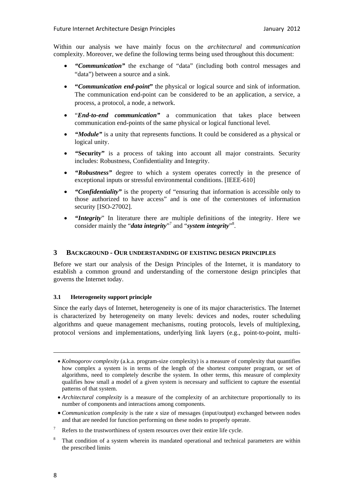Within our analysis we have mainly focus on the *architectural* and *communication* complexity. Moreover, we define the following terms being used throughout this document:

- *"Communication"* the exchange of "data" (including both control messages and "data") between a source and a sink.
- **"***Communication end-point***"** the physical or logical source and sink of information. The communication end-point can be considered to be an application, a service, a process, a protocol, a node, a network.
- "*End-to-end communication"* a communication that takes place between communication end-points of the same physical or logical functional level.
- *"Module"* is a unity that represents functions. It could be considered as a physical or logical unity.
- *"***Security"** is a process of taking into account all major constraints. Security includes: Robustness, Confidentiality and Integrity.
- *"Robustness"* degree to which a system operates correctly in the presence of exceptional inputs or stressful environmental conditions. [IEEE-610]
- *"Confidentiality"* is the property of "ensuring that information is accessible only to those authorized to have access" and is one of the cornerstones of information security [ISO-27002].
- *"Integrity*" In literature there are multiple definitions of the integrity. Here we consider mainly the "*data integrity*"<sup>7</sup> and "*system integrity*"<sup>8</sup>.

#### **3 BACKGROUND - OUR UNDERSTANDING OF EXISTING DESIGN PRINCIPLES**

Before we start our analysis of the Design Principles of the Internet, it is mandatory to establish a common ground and understanding of the cornerstone design principles that governs the Internet today.

#### **3.1 Heterogeneity support principle**

Since the early days of Internet, heterogeneity is one of its major characteristics. The Internet is characterized by heterogeneity on many levels: devices and nodes, router scheduling algorithms and queue management mechanisms, routing protocols, levels of multiplexing, protocol versions and implementations, underlying link layers (e.g., point-to-point, multi-

*Kolmogorov complexity* (a.k.a. program-size complexity) is a measure of complexity that quantifies how complex a system is in terms of the length of the shortest computer program, or set of algorithms, need to completely describe the system. In other terms, this measure of complexity qualifies how small a model of a given system is necessary and sufficient to capture the essential patterns of that system.

*Architectural complexity* is a measure of the complexity of an architecture proportionally to its number of components and interactions among components.

*Communication complexity* is the rate *x* size of messages (input/output) exchanged between nodes and that are needed for function performing on these nodes to properly operate.

<sup>7</sup> Refers to the trustworthiness of system resources over their entire life cycle.

<sup>8</sup> That condition of a system wherein its mandated operational and technical parameters are within the prescribed limits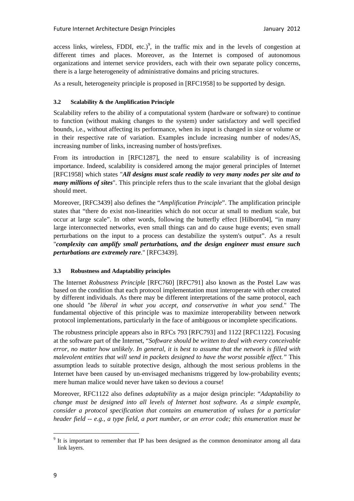access links, wireless, FDDI, etc.)<sup>9</sup>, in the traffic mix and in the levels of congestion at different times and places. Moreover, as the Internet is composed of autonomous organizations and internet service providers, each with their own separate policy concerns, there is a large heterogeneity of administrative domains and pricing structures.

As a result, heterogeneity principle is proposed in [RFC1958] to be supported by design.

#### **3.2 Scalability & the Amplification Principle**

Scalability refers to the ability of a computational system (hardware or software) to continue to function (without making changes to the system) under satisfactory and well specified bounds, i.e., without affecting its performance, when its input is changed in size or volume or in their respective rate of variation. Examples include increasing number of nodes/AS, increasing number of links, increasing number of hosts/prefixes.

From its introduction in [RFC1287], the need to ensure scalability is of increasing importance. Indeed, scalability is considered among the major general principles of Internet [RFC1958] which states "*All designs must scale readily to very many nodes per site and to many millions of sites*". This principle refers thus to the scale invariant that the global design should meet.

Moreover, [RFC3439] also defines the "*Amplification Principle*". The amplification principle states that "there do exist non-linearities which do not occur at small to medium scale, but occur at large scale". In other words, following the butterfly effect [Hilborn04], "in many large interconnected networks, even small things can and do cause huge events; even small perturbations on the input to a process can destabilize the system's output". As a result "*complexity can amplify small perturbations, and the design engineer must ensure such perturbations are extremely rare*." [RFC3439].

#### **3.3 Robustness and Adaptability principles**

The Internet *Robustness Principle* [RFC760] [RFC791] also known as the Postel Law was based on the condition that each protocol implementation must interoperate with other created by different individuals. As there may be different interpretations of the same protocol, each one should "*be liberal in what you accept, and conservative in what you send.*" The fundamental objective of this principle was to maximize interoperability between network protocol implementations, particularly in the face of ambiguous or incomplete specifications.

The robustness principle appears also in RFCs 793 [RFC793] and 1122 [RFC1122]. Focusing at the software part of the Internet, "*Software should be written to deal with every conceivable error, no matter how unlikely. In general, it is best to assume that the network is filled with malevolent entities that will send in packets designed to have the worst possible effect."* This assumption leads to suitable protective design, although the most serious problems in the Internet have been caused by un-envisaged mechanisms triggered by low-probability events; mere human malice would never have taken so devious a course!

Moreover, RFC1122 also defines *adaptability* as a major design principle: "*Adaptability to change must be designed into all levels of Internet host software. As a simple example, consider a protocol specification that contains an enumeration of values for a particular header field -- e.g., a type field, a port number, or an error code; this enumeration must be* 

<sup>&</sup>lt;sup>9</sup> It is important to remember that IP has been designed as the common denominator among all data link layers.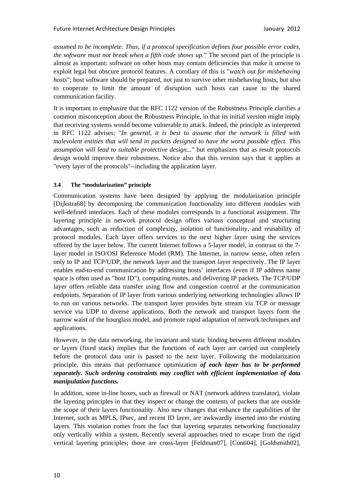*assumed to be incomplete. Thus, if a protocol specification defines four possible error codes, the software must not break when a fifth code shows up.*" The second part of the principle is almost as important: software on other hosts may contain deficiencies that make it unwise to exploit legal but obscure protocol features. A corollary of this is "*watch out for misbehaving hosts*"; host software should be prepared, not just to survive other misbehaving hosts, but also to cooperate to limit the amount of disruption such hosts can cause to the shared communication facility.

It is important to emphasize that the RFC 1122 version of the Robustness Principle clarifies a common misconception about the Robustness Principle, in that its initial version might imply that receiving systems would become vulnerable to attack. Indeed, the principle as interpreted in RFC 1122 advises: "*In general, it is best to assume that the network is filled with malevolent entities that will send in packets designed to have the worst possible effect. This assumption will lead to suitable protective design..."* but emphasizes that as result protocols design would improve their robustness. Notice also that this version says that it applies at "every layer of the protocols"--including the application layer.

## **3.4 The "modularization" principle**

Communication systems have been designed by applying the modularization principle [Dijkstra68] by decomposing the communication functionality into different modules with well-defined interfaces. Each of these modules corresponds to a functional assignment. The layering principle in network protocol design offers various conceptual and structuring advantages, such as reduction of complexity, isolation of functionality, and reusability of protocol modules. Each layer offers services to the next higher layer using the services offered by the layer below. The current Internet follows a 5-layer model, in contrast to the 7 layer model in ISO/OSI Reference Model (RM). The Internet, in narrow sense, often refers only to IP and TCP/UDP, the network layer and the transport layer respectively. The IP layer enables end-to-end communication by addressing hosts' interfaces (even if IP address name space is often used as "host ID"), computing routes, and delivering IP packets. The TCP/UDP layer offers reliable data transfer using flow and congestion control at the communication endpoints. Separation of IP layer from various underlying networking technologies allows IP to run on various networks. The transport layer provides byte stream via TCP or message service via UDP to diverse applications. Both the network and transport layers form the narrow waist of the hourglass model, and promote rapid adaptation of network techniques and applications.

However, in the data networking, the invariant and static binding between different modules or layers (fixed stack) implies that the functions of each layer are carried out completely before the protocol data unit is passed to the next layer. Following the modularization principle, this means that performance optimization *of each layer has to be performed separately. Such ordering constraints may conflict with efficient implementation of data manipulation functions.* 

In addition, some in-line boxes, such as firewall or NAT (network address translator), violate the layering principles in that they inspect or change the contents of packets that are outside the scope of their layers functionality. Also new changes that enhance the capabilities of the Internet, such as MPLS, IPsec, and recent ID layer, are awkwardly inserted into the existing layers. This violation comes from the fact that layering separates networking functionality only vertically within a system. Recently several approaches tried to escape from the rigid vertical layering principles; those are cross-layer [Feldman07], [Conti04], [Goldsmith02],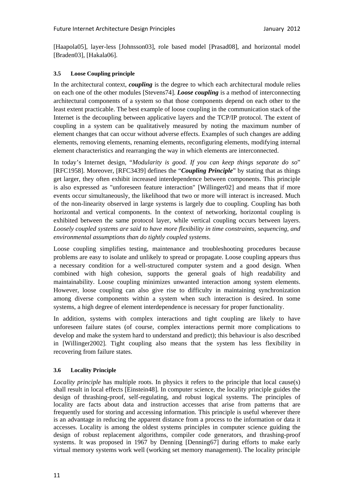[Haapola05], layer-less [Johnsson03], role based model [Prasad08], and horizontal model [Braden03], [Hakala06].

#### **3.5 Loose Coupling principle**

In the architectural context, *coupling* is the degree to which each architectural module relies on each one of the other modules [Stevens74]. *Loose coupling* is a method of interconnecting architectural components of a system so that those components depend on each other to the least extent practicable. The best example of loose coupling in the communication stack of the Internet is the decoupling between applicative layers and the TCP/IP protocol. The extent of coupling in a system can be qualitatively measured by noting the maximum number of element changes that can occur without adverse effects. Examples of such changes are adding elements, removing elements, renaming elements, reconfiguring elements, modifying internal element characteristics and rearranging the way in which elements are interconnected.

In today's Internet design, "*Modularity is good. If you can keep things separate do so*" [RFC1958]. Moreover, [RFC3439] defines the "*Coupling Principle*" by stating that as things get larger, they often exhibit increased interdependence between components. This principle is also expressed as "unforeseen feature interaction" [Willinger02] and means that if more events occur simultaneously, the likelihood that two or more will interact is increased. Much of the non-linearity observed in large systems is largely due to coupling. Coupling has both horizontal and vertical components. In the context of networking, horizontal coupling is exhibited between the same protocol layer, while vertical coupling occurs between layers. *Loosely coupled systems are said to have more flexibility in time constraints, sequencing, and environmental assumptions than do tightly coupled systems*.

Loose coupling simplifies testing, maintenance and troubleshooting procedures because problems are easy to isolate and unlikely to spread or propagate. Loose coupling appears thus a necessary condition for a well-structured computer system and a good design. When combined with high cohesion, supports the general goals of high readability and maintainability. Loose coupling minimizes unwanted interaction among system elements. However, loose coupling can also give rise to difficulty in maintaining synchronization among diverse components within a system when such interaction is desired. In some systems, a high degree of element interdependence is necessary for proper functionality.

In addition, systems with complex interactions and tight coupling are likely to have unforeseen failure states (of course, complex interactions permit more complications to develop and make the system hard to understand and predict); this behaviour is also described in [Willinger2002]. Tight coupling also means that the system has less flexibility in recovering from failure states.

# **3.6 Locality Principle**

*Locality principle* has multiple roots. In physics it refers to the principle that local cause(s) shall result in local effects [Einstein48]. In computer science, the locality principle guides the design of thrashing-proof, self-regulating, and robust logical systems. The principles of locality are facts about data and instruction accesses that arise from patterns that are frequently used for storing and accessing information. This principle is useful wherever there is an advantage in reducing the apparent distance from a process to the information or data it accesses. Locality is among the oldest systems principles in computer science guiding the design of robust replacement algorithms, compiler code generators, and thrashing-proof systems. It was proposed in 1967 by Denning [Denning67] during efforts to make early virtual memory systems work well (working set memory management). The locality principle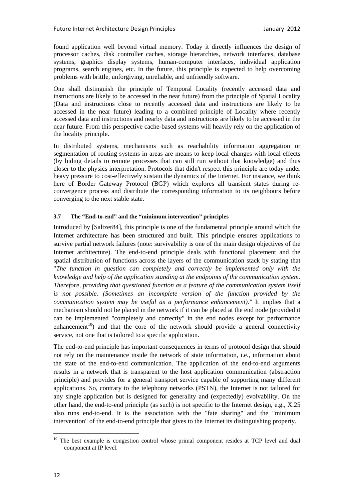found application well beyond virtual memory. Today it directly influences the design of processor caches, disk controller caches, storage hierarchies, network interfaces, database systems, graphics display systems, human-computer interfaces, individual application programs, search engines, etc. In the future, this principle is expected to help overcoming problems with brittle, unforgiving, unreliable, and unfriendly software.

One shall distinguish the principle of Temporal Locality (recently accessed data and instructions are likely to be accessed in the near future) from the principle of Spatial Locality (Data and instructions close to recently accessed data and instructions are likely to be accessed in the near future) leading to a combined principle of Locality where recently accessed data and instructions and nearby data and instructions are likely to be accessed in the near future. From this perspective cache-based systems will heavily rely on the application of the locality principle.

In distributed systems, mechanisms such as reachability information aggregation or segmentation of routing systems in areas are means to keep local changes with local effects (by hiding details to remote processes that can still run without that knowledge) and thus closer to the physics interpretation. Protocols that didn't respect this principle are today under heavy pressure to cost-effectively sustain the dynamics of the Internet. For instance, we think here of Border Gateway Protocol (BGP) which explores all transient states during reconvergence process and distribute the corresponding information to its neighbours before converging to the next stable state.

#### **3.7 The "End-to-end" and the "minimum intervention" principles**

Introduced by [Saltzer84], this principle is one of the fundamental principle around which the Internet architecture has been structured and built. This principle ensures applications to survive partial network failures (note: survivability is one of the main design objectives of the Internet architecture). The end-to-end principle deals with functional placement and the spatial distribution of functions across the layers of the communication stack by stating that "*The function in question can completely and correctly be implemented only with the knowledge and help of the application standing at the endpoints of the communication system. Therefore, providing that questioned function as a feature of the communication system itself is not possible. (Sometimes an incomplete version of the function provided by the communication system may be useful as a performance enhancement)."* It implies that a mechanism should not be placed in the network if it can be placed at the end node (provided it can be implemented "completely and correctly" in the end nodes except for performance enhancement<sup>10</sup>) and that the core of the network should provide a general connectivity service, not one that is tailored to a specific application.

The end-to-end principle has important consequences in terms of protocol design that should not rely on the maintenance inside the network of state information, i.e., information about the state of the end-to-end communication. The application of the end-to-end arguments results in a network that is transparent to the host application communication (abstraction principle) and provides for a general transport service capable of supporting many different applications. So, contrary to the telephony networks (PSTN), the Internet is not tailored for any single application but is designed for generality and (expectedly) evolvability. On the other hand, the end-to-end principle (as such) is not specific to the Internet design, e.g., X.25 also runs end-to-end. It is the association with the "fate sharing" and the "minimum intervention" of the end-to-end principle that gives to the Internet its distinguishing property.

 $10$  The best example is congestion control whose primal component resides at TCP level and dual component at IP level.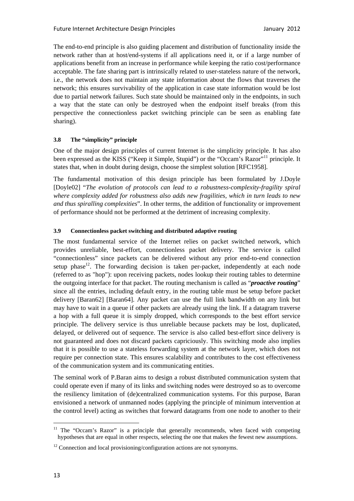The end-to-end principle is also guiding placement and distribution of functionality inside the network rather than at host/end-systems if all applications need it, or if a large number of applications benefit from an increase in performance while keeping the ratio cost/performance acceptable. The fate sharing part is intrinsically related to user-stateless nature of the network, i.e., the network does not maintain any state information about the flows that traverses the network; this ensures survivability of the application in case state information would be lost due to partial network failures. Such state should be maintained only in the endpoints, in such a way that the state can only be destroyed when the endpoint itself breaks (from this perspective the connectionless packet switching principle can be seen as enabling fate sharing).

## **3.8 The "simplicity" principle**

One of the major design principles of current Internet is the simplicity principle. It has also been expressed as the KISS ("Keep it Simple, Stupid") or the "Occam's Razor"<sup>11</sup> principle. It states that, when in doubt during design, choose the simplest solution [RFC1958].

The fundamental motivation of this design principle has been formulated by J.Doyle [Doyle02] "*The evolution of protocols can lead to a robustness-complexity-fragility spiral where complexity added for robustness also adds new fragilities, which in turn leads to new and thus spiralling complexities*". In other terms, the addition of functionality or improvement of performance should not be performed at the detriment of increasing complexity.

#### **3.9 Connectionless packet switching and distributed adaptive routing**

The most fundamental service of the Internet relies on packet switched network, which provides unreliable, best-effort, connectionless packet delivery. The service is called "connectionless" since packets can be delivered without any prior end-to-end connection setup phase<sup>12</sup>. The forwarding decision is taken per-packet, independently at each node (referred to as "hop"): upon receiving packets, nodes lookup their routing tables to determine the outgoing interface for that packet. The routing mechanism is called as "*proactive routing*" since all the entries, including default entry, in the routing table must be setup before packet delivery [Baran62] [Baran64]. Any packet can use the full link bandwidth on any link but may have to wait in a queue if other packets are already using the link. If a datagram traverse a hop with a full queue it is simply dropped, which corresponds to the best effort service principle. The delivery service is thus unreliable because packets may be lost, duplicated, delayed, or delivered out of sequence. The service is also called best-effort since delivery is not guaranteed and does not discard packets capriciously. This switching mode also implies that it is possible to use a stateless forwarding system at the network layer, which does not require per connection state. This ensures scalability and contributes to the cost effectiveness of the communication system and its communicating entities.

The seminal work of P.Baran aims to design a robust distributed communication system that could operate even if many of its links and switching nodes were destroyed so as to overcome the resiliency limitation of (de)centralized communication systems. For this purpose, Baran envisioned a network of unmanned nodes (applying the principle of minimum intervention at the control level) acting as switches that forward datagrams from one node to another to their

<sup>&</sup>lt;sup>11</sup> The "Occam's Razor" is a principle that generally recommends, when faced with competing hypotheses that are equal in other respects, selecting the one that makes the fewest new assumptions.

 $12$  Connection and local provisioning/configuration actions are not synonyms.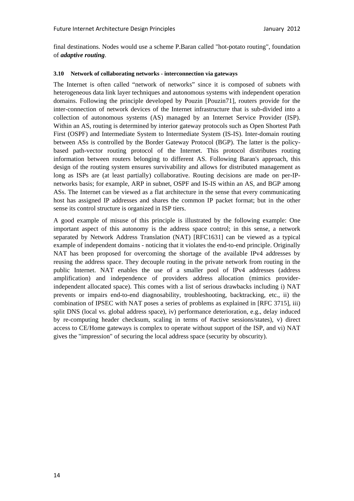final destinations. Nodes would use a scheme P.Baran called "hot-potato routing", foundation of *adaptive routing*.

#### **3.10 Network of collaborating networks - interconnection via gateways**

The Internet is often called "network of networks" since it is composed of subnets with heterogeneous data link layer techniques and autonomous systems with independent operation domains. Following the principle developed by Pouzin [Pouzin71], routers provide for the inter-connection of network devices of the Internet infrastructure that is sub-divided into a collection of autonomous systems (AS) managed by an Internet Service Provider (ISP). Within an AS, routing is determined by interior gateway protocols such as Open Shortest Path First (OSPF) and Intermediate System to Intermediate System (IS-IS). Inter-domain routing between ASs is controlled by the Border Gateway Protocol (BGP). The latter is the policybased path-vector routing protocol of the Internet. This protocol distributes routing information between routers belonging to different AS. Following Baran's approach, this design of the routing system ensures survivability and allows for distributed management as long as ISPs are (at least partially) collaborative. Routing decisions are made on per-IPnetworks basis; for example, ARP in subnet, OSPF and IS-IS within an AS, and BGP among ASs. The Internet can be viewed as a flat architecture in the sense that every communicating host has assigned IP addresses and shares the common IP packet format; but in the other sense its control structure is organized in ISP tiers.

A good example of misuse of this principle is illustrated by the following example: One important aspect of this autonomy is the address space control; in this sense, a network separated by Network Address Translation (NAT) [RFC1631] can be viewed as a typical example of independent domains - noticing that it violates the end-to-end principle. Originally NAT has been proposed for overcoming the shortage of the available IPv4 addresses by reusing the address space. They decouple routing in the private network from routing in the public Internet. NAT enables the use of a smaller pool of IPv4 addresses (address amplification) and independence of providers address allocation (mimics providerindependent allocated space). This comes with a list of serious drawbacks including i) NAT prevents or impairs end-to-end diagnosability, troubleshooting, backtracking, etc., ii) the combination of IPSEC with NAT poses a series of problems as explained in [RFC 3715], iii) split DNS (local vs. global address space), iv) performance deterioration, e.g., delay induced by re-computing header checksum, scaling in terms of #active sessions/states), v) direct access to CE/Home gateways is complex to operate without support of the ISP, and vi) NAT gives the "impression" of securing the local address space (security by obscurity).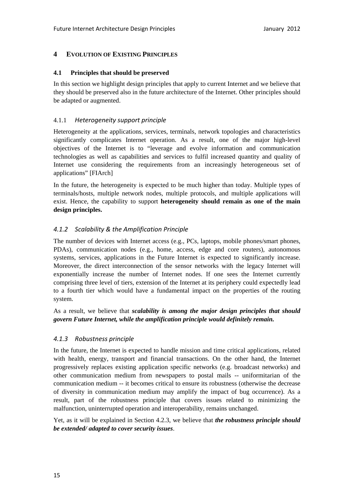## **4 EVOLUTION OF EXISTING PRINCIPLES**

#### **4.1 Principles that should be preserved**

In this section we highlight design principles that apply to current Internet and we believe that they should be preserved also in the future architecture of the Internet. Other principles should be adapted or augmented.

#### 4.1.1 *Heterogeneity support principle*

Heterogeneity at the applications, services, terminals, network topologies and characteristics significantly complicates Internet operation. As a result, one of the major high-level objectives of the Internet is to "leverage and evolve information and communication technologies as well as capabilities and services to fulfil increased quantity and quality of Internet use considering the requirements from an increasingly heterogeneous set of applications" [FIArch]

In the future, the heterogeneity is expected to be much higher than today. Multiple types of terminals/hosts, multiple network nodes, multiple protocols, and multiple applications will exist. Hence, the capability to support **heterogeneity should remain as one of the main design principles.** 

## *4.1.2 Scalability & the Amplification Principle*

The number of devices with Internet access (e.g., PCs, laptops, mobile phones/smart phones, PDAs), communication nodes (e.g., home, access, edge and core routers), autonomous systems, services, applications in the Future Internet is expected to significantly increase. Moreover, the direct interconnection of the sensor networks with the legacy Internet will exponentially increase the number of Internet nodes. If one sees the Internet currently comprising three level of tiers, extension of the Internet at its periphery could expectedly lead to a fourth tier which would have a fundamental impact on the properties of the routing system.

As a result, we believe that *scalability is among the major design principles that should govern Future Internet, while the amplification principle would definitely remain.*

#### *4.1.3 Robustness principle*

In the future, the Internet is expected to handle mission and time critical applications, related with health, energy, transport and financial transactions. On the other hand, the Internet progressively replaces existing application specific networks (e.g. broadcast networks) and other communication medium from newspapers to postal mails -- uniformitarian of the communication medium -- it becomes critical to ensure its robustness (otherwise the decrease of diversity in communication medium may amplify the impact of bug occurrence). As a result, part of the robustness principle that covers issues related to minimizing the malfunction, uninterrupted operation and interoperability, remains unchanged.

Yet, as it will be explained in Section 4.2.3, we believe that *the robustness principle should be extended/ adapted to cover security issues*.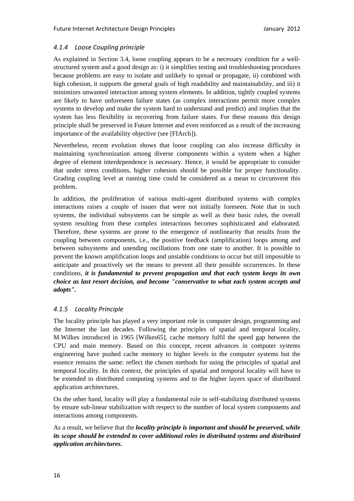# *4.1.4 Loose Coupling principle*

As explained in Section 3.4, loose coupling appears to be a necessary condition for a wellstructured system and a good design as: i) it simplifies testing and troubleshooting procedures because problems are easy to isolate and unlikely to spread or propagate, ii) combined with high cohesion, it supports the general goals of high readability and maintainability, and iii) it minimizes unwanted interaction among system elements. In addition, tightly coupled systems are likely to have unforeseen failure states (as complex interactions permit more complex systems to develop and make the system hard to understand and predict) and implies that the system has less flexibility in recovering from failure states. For these reasons this design principle shall be preserved in Future Internet and even reinforced as a result of the increasing importance of the availability objective (see [FIArch]).

Nevertheless, recent evolution shows that loose coupling can also increase difficulty in maintaining synchronization among diverse components within a system when a higher degree of element interdependence is necessary. Hence, it would be appropriate to consider that under stress conditions, higher cohesion should be possible for proper functionality. Grading coupling level at running time could be considered as a mean to circumvent this problem.

In addition, the proliferation of various multi-agent distributed systems with complex interactions raises a couple of issues that were not initially foreseen. Note that in such systems, the individual subsystems can be simple as well as their basic rules, the overall system resulting from these complex interactions becomes sophisticated and elaborated. Therefore, these systems are prone to the emergence of nonlinearity that results from the coupling between components, i.e., the positive feedback (amplification) loops among and between subsystems and unending oscillations from one state to another. It is possible to prevent the known amplification loops and unstable conditions to occur but still impossible to anticipate and proactively set the means to prevent all their possible occurrences. In these conditions, *it is fundamental to prevent propagation and that each system keeps its own choice as last resort decision, and become "conservative to what each system accepts and adopts".*

# *4.1.5 Locality Principle*

The locality principle has played a very important role in computer design, programming and the Internet the last decades. Following the principles of spatial and temporal locality, M.Wilkes introduced in 1965 [Wilkes65], cache memory fulfil the speed gap between the CPU and main memory. Based on this concept, recent advances in computer systems engineering have pushed cache memory to higher levels in the computer systems but the essence remains the same: reflect the chosen methods for using the principles of spatial and temporal locality. In this context, the principles of spatial and temporal locality will have to be extended to distributed computing systems and to the higher layers space of distributed application architectures.

On the other hand, locality will play a fundamental role in self-stabilizing distributed systems by ensure sub-linear stabilization with respect to the number of local system components and interactions among components.

As a result, we believe that the *locality principle is important and should be preserved, while its scope should be extended to cover additional roles in distributed systems and distributed application architectures.*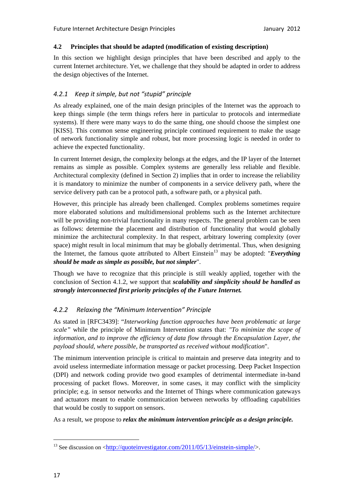### **4.2 Principles that should be adapted (modification of existing description)**

In this section we highlight design principles that have been described and apply to the current Internet architecture. Yet, we challenge that they should be adapted in order to address the design objectives of the Internet.

# *4.2.1 Keep it simple, but not "stupid" principle*

As already explained, one of the main design principles of the Internet was the approach to keep things simple (the term things refers here in particular to protocols and intermediate systems). If there were many ways to do the same thing, one should choose the simplest one [KISS]. This common sense engineering principle continued requirement to make the usage of network functionality simple and robust, but more processing logic is needed in order to achieve the expected functionality.

In current Internet design, the complexity belongs at the edges, and the IP layer of the Internet remains as simple as possible. Complex systems are generally less reliable and flexible. Architectural complexity (defined in Section 2) implies that in order to increase the reliability it is mandatory to minimize the number of components in a service delivery path, where the service delivery path can be a protocol path, a software path, or a physical path.

However, this principle has already been challenged. Complex problems sometimes require more elaborated solutions and multidimensional problems such as the Internet architecture will be providing non-trivial functionality in many respects. The general problem can be seen as follows: determine the placement and distribution of functionality that would globally minimize the architectural complexity. In that respect, arbitrary lowering complexity (over space) might result in local minimum that may be globally detrimental. Thus, when designing the Internet, the famous quote attributed to Albert Einstein<sup>13</sup> may be adopted: "*Everything should be made as simple as possible, but not simpler*".

Though we have to recognize that this principle is still weakly applied, together with the conclusion of Section 4.1.2, we support that *scalability and simplicity should be handled as strongly interconnected first priority principles of the Future Internet.* 

# *4.2.2 Relaxing the "Minimum Intervention" Principle*

As stated in [RFC3439]: "*Interworking function approaches have been problematic at large scale"* while the principle of Minimum Intervention states that: *"To minimize the scope of information, and to improve the efficiency of data flow through the Encapsulation Layer, the payload should, where possible, be transported as received without modification*".

The minimum intervention principle is critical to maintain and preserve data integrity and to avoid useless intermediate information message or packet processing. Deep Packet Inspection (DPI) and network coding provide two good examples of detrimental intermediate in-band processing of packet flows. Moreover, in some cases, it may conflict with the simplicity principle; e.g. in sensor networks and the Internet of Things where communication gateways and actuators meant to enable communication between networks by offloading capabilities that would be costly to support on sensors.

As a result, we propose to *relax the minimum intervention principle as a design principle.*

<sup>&</sup>lt;sup>13</sup> See discussion on  $\langle$ http://quoteinvestigator.com/2011/05/13/einstein-simple/>.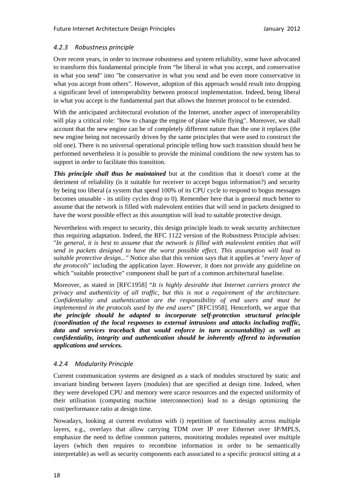# *4.2.3 Robustness principle*

Over recent years, in order to increase robustness and system reliability, some have advocated to transform this fundamental principle from "be liberal in what you accept, and conservative in what you send" into "be conservative in what you send and be even more conservative in what you accept from others". However, adoption of this approach would result into dropping a significant level of interoperability between protocol implementation. Indeed, being liberal in what you accept is the fundamental part that allows the Internet protocol to be extended.

With the anticipated architectural evolution of the Internet, another aspect of interoperability will play a critical role: "how to change the engine of plane while flying". Moreover, we shall account that the new engine can be of completely different nature than the one it replaces (the new engine being not necessarily driven by the same principles that were used to construct the old one). There is no universal operational principle telling how such transition should best be performed nevertheless it is possible to provide the minimal conditions the new system has to support in order to facilitate this transition.

*This principle shall thus be maintained* but at the condition that it doesn't come at the detriment of reliability (is it suitable for receiver to accept bogus information?) and security by being too liberal (a system that spend 100% of its CPU cycle to respond to bogus messages becomes unusable - its utility cycles drop to 0). Remember here that is general much better to assume that the network is filled with malevolent entities that will send in packets designed to have the worst possible effect as this assumption will lead to suitable protective design.

Nevertheless with respect to security, this design principle leads to weak security architecture thus requiring adaptation. Indeed, the RFC 1122 version of the Robustness Principle advises: "*In general, it is best to assume that the network is filled with malevolent entities that will send in packets designed to have the worst possible effect. This assumption will lead to suitable protective design..."* Notice also that this version says that it applies at "*every layer of the protocols*" including the application layer. However, it does not provide any guideline on which "suitable protective" component shall be part of a common architectural baseline.

Moreover, as stated in [RFC1958] "*It is highly desirable that Internet carriers protect the privacy and authenticity of all traffic, but this is not a requirement of the architecture. Confidentiality and authentication are the responsibility of end users and must be implemented in the protocols used by the end users*" [RFC1958]. Henceforth, we argue that *the principle should be adapted to incorporate self-protection structural principle (coordination of the local responses to external intrusions and attacks including traffic, data and services traceback that would enforce in turn accountability) as well as confidentiality, integrity and authentication should be inherently offered to information applications and services.*

# *4.2.4 Modularity Principle*

Current communication systems are designed as a stack of modules structured by static and invariant binding between layers (modules) that are specified at design time. Indeed, when they were developed CPU and memory were scarce resources and the expected uniformity of their utilisation (computing machine interconnection) lead to a design optimizing the cost/performance ratio at design time.

Nowadays, looking at current evolution with i) repetition of functionality across multiple layers, e.g., overlays that allow carrying TDM over IP over Ethernet over IP/MPLS, emphasize the need to define common patterns, monitoring modules repeated over multiple layers (which then requires to recombine information in order to be semantically interpretable) as well as security components each associated to a specific protocol sitting at a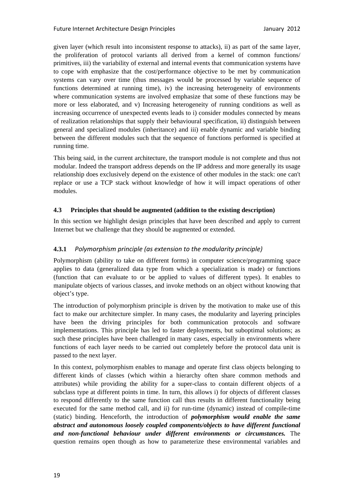given layer (which result into inconsistent response to attacks), ii) as part of the same layer, the proliferation of protocol variants all derived from a kernel of common functions/ primitives, iii) the variability of external and internal events that communication systems have to cope with emphasize that the cost/performance objective to be met by communication systems can vary over time (thus messages would be processed by variable sequence of functions determined at running time), iv) the increasing heterogeneity of environments where communication systems are involved emphasize that some of these functions may be more or less elaborated, and v) Increasing heterogeneity of running conditions as well as increasing occurrence of unexpected events leads to i) consider modules connected by means of realization relationships that supply their behavioural specification, ii) distinguish between general and specialized modules (inheritance) and iii) enable dynamic and variable binding between the different modules such that the sequence of functions performed is specified at running time.

This being said, in the current architecture, the transport module is not complete and thus not modular. Indeed the transport address depends on the IP address and more generally its usage relationship does exclusively depend on the existence of other modules in the stack: one can't replace or use a TCP stack without knowledge of how it will impact operations of other modules.

## **4.3 Principles that should be augmented (addition to the existing description)**

In this section we highlight design principles that have been described and apply to current Internet but we challenge that they should be augmented or extended.

# **4.3.1** *Polymorphism principle (as extension to the modularity principle)*

Polymorphism (ability to take on different forms) in computer science/programming space applies to data (generalized data type from which a specialization is made) or functions (function that can evaluate to or be applied to values of different types). It enables to manipulate objects of various classes, and invoke methods on an object without knowing that object's type.

The introduction of polymorphism principle is driven by the motivation to make use of this fact to make our architecture simpler. In many cases, the modularity and layering principles have been the driving principles for both communication protocols and software implementations. This principle has led to faster deployments, but suboptimal solutions; as such these principles have been challenged in many cases, especially in environments where functions of each layer needs to be carried out completely before the protocol data unit is passed to the next layer.

In this context, polymorphism enables to manage and operate first class objects belonging to different kinds of classes (which within a hierarchy often share common methods and attributes) while providing the ability for a super-class to contain different objects of a subclass type at different points in time. In turn, this allows i) for objects of different classes to respond differently to the same function call thus results in different functionality being executed for the same method call, and ii) for run-time (dynamic) instead of compile-time (static) binding. Henceforth, the introduction of *polymorphism would enable the same abstract and autonomous loosely coupled components/objects to have different functional and non-functional behaviour under different environments or circumstances.* The question remains open though as how to parameterize these environmental variables and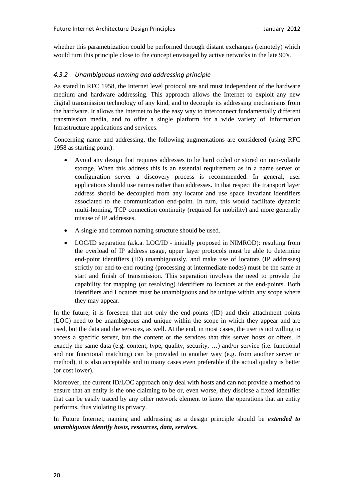whether this parametrization could be performed through distant exchanges (remotely) which would turn this principle close to the concept envisaged by active networks in the late 90's.

# *4.3.2 Unambiguous naming and addressing principle*

As stated in RFC 1958, the Internet level protocol are and must independent of the hardware medium and hardware addressing. This approach allows the Internet to exploit any new digital transmission technology of any kind, and to decouple its addressing mechanisms from the hardware. It allows the Internet to be the easy way to interconnect fundamentally different transmission media, and to offer a single platform for a wide variety of Information Infrastructure applications and services.

Concerning name and addressing, the following augmentations are considered (using RFC 1958 as starting point):

- Avoid any design that requires addresses to be hard coded or stored on non-volatile storage. When this address this is an essential requirement as in a name server or configuration server a discovery process is recommended. In general, user applications should use names rather than addresses. In that respect the transport layer address should be decoupled from any locator and use space invariant identifiers associated to the communication end-point. In turn, this would facilitate dynamic multi-homing, TCP connection continuity (required for mobility) and more generally misuse of IP addresses.
- A single and common naming structure should be used.
- LOC/ID separation (a.k.a. LOC/ID initially proposed in NIMROD): resulting from the overload of IP address usage, upper layer protocols must be able to determine end-point identifiers (ID) unambiguously, and make use of locators (IP addresses) strictly for end-to-end routing (processing at intermediate nodes) must be the same at start and finish of transmission. This separation involves the need to provide the capability for mapping (or resolving) identifiers to locators at the end-points. Both identifiers and Locators must be unambiguous and be unique within any scope where they may appear.

In the future, it is foreseen that not only the end-points (ID) and their attachment points (LOC) need to be unambiguous and unique within the scope in which they appear and are used, but the data and the services, as well. At the end, in most cases, the user is not willing to access a specific server, but the content or the services that this server hosts or offers. If exactly the same data (e.g. content, type, quality, security, …) and/or service (i.e. functional and not functional matching) can be provided in another way (e.g. from another server or method), it is also acceptable and in many cases even preferable if the actual quality is better (or cost lower).

Moreover, the current ID/LOC approach only deal with hosts and can not provide a method to ensure that an entity is the one claiming to be or, even worse, they disclose a fixed identifier that can be easily traced by any other network element to know the operations that an entity performs, thus violating its privacy.

In Future Internet, naming and addressing as a design principle should be *extended to unambiguous identify hosts, resources, data, services.*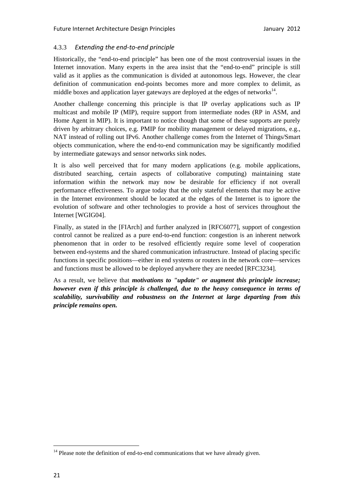# 4.3.3 *Extending the end‐to‐end principle*

Historically, the "end-to-end principle" has been one of the most controversial issues in the Internet innovation. Many experts in the area insist that the "end-to-end" principle is still valid as it applies as the communication is divided at autonomous legs. However, the clear definition of communication end-points becomes more and more complex to delimit, as middle boxes and application layer gateways are deployed at the edges of networks $14$ .

Another challenge concerning this principle is that IP overlay applications such as IP multicast and mobile IP (MIP), require support from intermediate nodes (RP in ASM, and Home Agent in MIP). It is important to notice though that some of these supports are purely driven by arbitrary choices, e.g. PMIP for mobility management or delayed migrations, e.g., NAT instead of rolling out IPv6. Another challenge comes from the Internet of Things/Smart objects communication, where the end-to-end communication may be significantly modified by intermediate gateways and sensor networks sink nodes.

It is also well perceived that for many modern applications (e.g. mobile applications, distributed searching, certain aspects of collaborative computing) maintaining state information within the network may now be desirable for efficiency if not overall performance effectiveness. To argue today that the only stateful elements that may be active in the Internet environment should be located at the edges of the Internet is to ignore the evolution of software and other technologies to provide a host of services throughout the Internet [WGIG04].

Finally, as stated in the [FIArch] and further analyzed in [RFC6077], support of congestion control cannot be realized as a pure end-to-end function: congestion is an inherent network phenomenon that in order to be resolved efficiently require some level of cooperation between end-systems and the shared communication infrastructure. Instead of placing specific functions in specific positions—either in end systems or routers in the network core—services and functions must be allowed to be deployed anywhere they are needed [RFC3234].

As a result, we believe that *motivations to "update" or augment this principle increase; however even if this principle is challenged, due to the heavy consequence in terms of scalability, survivability and robustness on the Internet at large departing from this principle remains open.*

 $14$  Please note the definition of end-to-end communications that we have already given.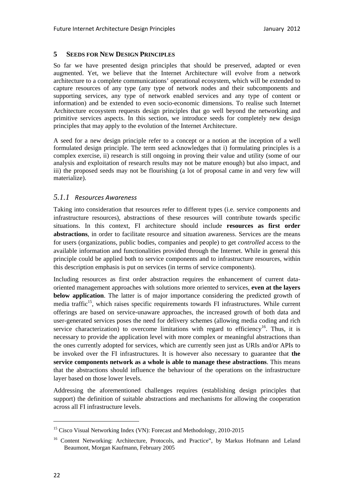#### **5 SEEDS FOR NEW DESIGN PRINCIPLES**

So far we have presented design principles that should be preserved, adapted or even augmented. Yet, we believe that the Internet Architecture will evolve from a network architecture to a complete communications' operational ecosystem, which will be extended to capture resources of any type (any type of network nodes and their subcomponents and supporting services, any type of network enabled services and any type of content or information) and be extended to even socio-economic dimensions. To realise such Internet Architecture ecosystem requests design principles that go well beyond the networking and primitive services aspects. In this section, we introduce seeds for completely new design principles that may apply to the evolution of the Internet Architecture.

A seed for a new design principle refer to a concept or a notion at the inception of a well formulated design principle. The term seed acknowledges that i) formulating principles is a complex exercise, ii) research is still ongoing in proving their value and utility (some of our analysis and exploitation of research results may not be mature enough) but also impact, and iii) the proposed seeds may not be flourishing (a lot of proposal came in and very few will materialize).

# *5.1.1 Resources Awareness*

Taking into consideration that resources refer to different types (i.e. service components and infrastructure resources), abstractions of these resources will contribute towards specific situations. In this context, FI architecture should include **resources as first order abstractions**, in order to facilitate resource and situation awareness. Services are the means for users (organizations, public bodies, companies and people) to get *controlled* access to the available information and functionalities provided through the Internet. While in general this principle could be applied both to service components and to infrastructure resources, within this description emphasis is put on services (in terms of service components).

Including resources as first order abstraction requires the enhancement of current dataoriented management approaches with solutions more oriented to services, **even at the layers below application**. The latter is of major importance considering the predicted growth of media traffic<sup>15</sup>, which raises specific requirements towards FI infrastructures. While current offerings are based on service-unaware approaches, the increased growth of both data and user-generated services poses the need for delivery schemes (allowing media coding and rich service characterization) to overcome limitations with regard to efficiency<sup>16</sup>. Thus, it is necessary to provide the application level with more complex or meaningful abstractions than the ones currently adopted for services, which are currently seen just as URIs and/or APIs to be invoked over the FI infrastructures. It is however also necessary to guarantee that **the service components network as a whole is able to manage these abstractions**. This means that the abstractions should influence the behaviour of the operations on the infrastructure layer based on those lower levels.

Addressing the aforementioned challenges requires (establishing design principles that support) the definition of suitable abstractions and mechanisms for allowing the cooperation across all FI infrastructure levels.

<sup>&</sup>lt;sup>15</sup> Cisco Visual Networking Index (VN): Forecast and Methodology, 2010-2015

<sup>&</sup>lt;sup>16</sup> Content Networking: Architecture, Protocols, and Practice", by Markus Hofmann and Leland Beaumont, Morgan Kaufmann, February 2005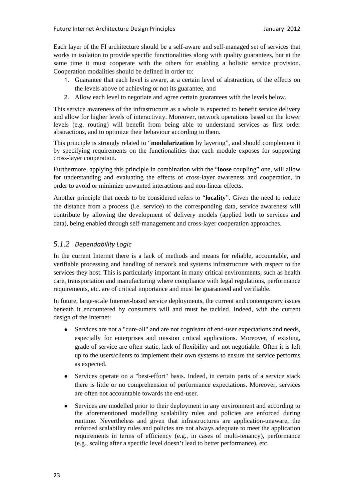Each layer of the FI architecture should be a self-aware and self-managed set of services that works in isolation to provide specific functionalities along with quality guarantees, but at the same time it must cooperate with the others for enabling a holistic service provision. Cooperation modalities should be defined in order to:

- 1. Guarantee that each level is aware, at a certain level of abstraction, of the effects on the levels above of achieving or not its guarantee, and
- 2. Allow each level to negotiate and agree certain guarantees with the levels below.

This service awareness of the infrastructure as a whole is expected to benefit service delivery and allow for higher levels of interactivity. Moreover, network operations based on the lower levels (e.g. routing) will benefit from being able to understand services as first order abstractions, and to optimize their behaviour according to them.

This principle is strongly related to "**modularization** by layering", and should complement it by specifying requirements on the functionalities that each module exposes for supporting cross-layer cooperation.

Furthermore, applying this principle in combination with the "**loose** coupling" one, will allow for understanding and evaluating the effects of cross-layer awareness and cooperation, in order to avoid or minimize unwanted interactions and non-linear effects.

Another principle that needs to be considered refers to "**locality**". Given the need to reduce the distance from a process (i.e. service) to the corresponding data, service awareness will contribute by allowing the development of delivery models (applied both to services and data), being enabled through self-management and cross-layer cooperation approaches.

# *5.1.2 Dependability Logic*

In the current Internet there is a lack of methods and means for reliable, accountable, and verifiable processing and handling of network and systems infrastructure with respect to the services they host. This is particularly important in many critical environments, such as health care, transportation and manufacturing where compliance with legal regulations, performance requirements, etc. are of critical importance and must be guaranteed and verifiable.

In future, large-scale Internet-based service deployments, the current and contemporary issues beneath it encountered by consumers will and must be tackled. Indeed, with the current design of the Internet:

- Services are not a "cure-all" and are not cognisant of end-user expectations and needs, especially for enterprises and mission critical applications. Moreover, if existing, grade of service are often static, lack of flexibility and not negotiable. Often it is left up to the users/clients to implement their own systems to ensure the service performs as expected.
- Services operate on a "best-effort" basis. Indeed, in certain parts of a service stack there is little or no comprehension of performance expectations. Moreover, services are often not accountable towards the end-user.
- Services are modelled prior to their deployment in any environment and according to the aforementioned modelling scalability rules and policies are enforced during runtime. Nevertheless and given that infrastructures are application-unaware, the enforced scalability rules and policies are not always adequate to meet the application requirements in terms of efficiency (e.g., in cases of multi-tenancy), performance (e.g., scaling after a specific level doesn't lead to better performance), etc.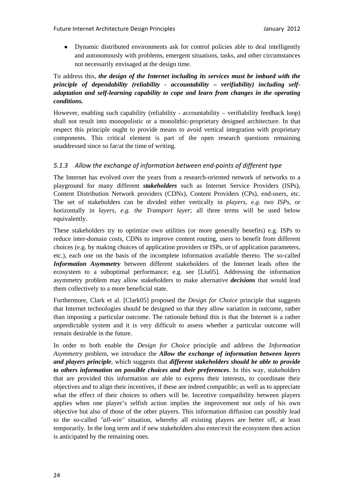● Dynamic distributed environments ask for control policies able to deal intelligently and autonomously with problems, emergent situations, tasks, and other circumstances not necessarily envisaged at the design time.

# To address this, *the design of the Internet including its services must be imbued with the principle of dependability (reliability - accountability – verifiability) including selfadaptation and self-learning capability to cope and learn from changes in the operating conditions.*

However, enabling such capability (reliability - accountability – verifiability feedback loop) shall not result into monopolistic or a monolithic-proprietary designed architecture. In that respect this principle ought to provide means to avoid vertical integration with proprietary components. This critical element is part of the open research questions remaining unaddressed since so far/at the time of writing.

# *5.1.3 Allow the exchange of information between end‐points of different type*

The Internet has evolved over the years from a research-oriented network of networks to a playground for many different *stakeholders* such as Internet Service Providers (ISPs), Content Distribution Network providers (CDNs), Content Providers (CPs), end-users, etc. The set of stakeholders can be divided either vertically in *players, e.g. two ISPs*, or horizontally in *layers, e.g. the Transport layer*; all three terms will be used below equivalently.

These stakeholders try to optimize own utilities (or more generally benefits) e.g. ISPs to reduce inter-domain costs, CDNs to improve content routing, users to benefit from different choices (e.g. by making choices of application providers or ISPs, or of application parameters, etc.), each one on the basis of the incomplete information available thereto. The so-called *Information Asymmetry* between different stakeholders of the Internet leads often the ecosystem to a suboptimal performance; e.g. see [Liu05]. Addressing the information asymmetry problem may allow stakeholders to make alternative *decisions* that would lead them collectively to a more beneficial state.

Furthermore, Clark et al. [Clark05] proposed the *Design for Choice* principle that suggests that Internet technologies should be designed so that they allow variation in outcome, rather than imposing a particular outcome. The rationale behind this is that the Internet is a rather unpredictable system and it is very difficult to assess whether a particular outcome will remain desirable in the future.

In order to both enable the *Design for Choice* principle and address the *Information Asymmetry* problem, we introduce the *Allow the exchange of information between layers and players principle*, which suggests that *different stakeholders should be able to provide to others information on possible choices and their preferences*. In this way, stakeholders that are provided this information are able to express their interests, to coordinate their objectives and to align their incentives, if these are indeed compatible; as well as to appreciate what the effect of their choices to others will be. Incentive compatibility between players applies when one player's selfish action implies the improvement not only of his own objective but also of those of the other players. This information diffusion can possibly lead to the so-called *"all-win"* situation, whereby all existing players are better off, at least temporarily. In the long term and if new stakeholders also enter/exit the ecosystem then action is anticipated by the remaining ones.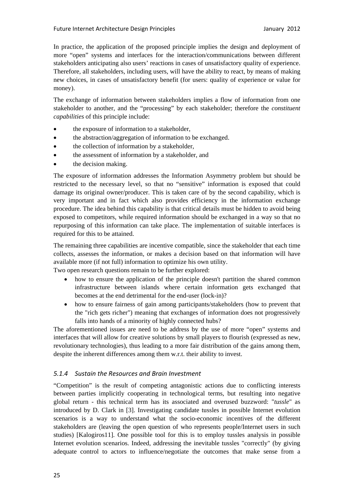In practice, the application of the proposed principle implies the design and deployment of more "open" systems and interfaces for the interaction/communications between different stakeholders anticipating also users' reactions in cases of unsatisfactory quality of experience. Therefore, all stakeholders, including users, will have the ability to react, by means of making new choices, in cases of unsatisfactory benefit (for users: quality of experience or value for money).

The exchange of information between stakeholders implies a flow of information from one stakeholder to another, and the "processing" by each stakeholder; therefore the *constituent capabilities* of this principle include:

- the exposure of information to a stakeholder,
- the abstraction/aggregation of information to be exchanged.
- the collection of information by a stakeholder,
- the assessment of information by a stakeholder, and
- the decision making.

The exposure of information addresses the Information Asymmetry problem but should be restricted to the necessary level, so that no "sensitive" information is exposed that could damage its original owner/producer. This is taken care of by the second capability, which is very important and in fact which also provides efficiency in the information exchange procedure. The idea behind this capability is that critical details must be hidden to avoid being exposed to competitors, while required information should be exchanged in a way so that no repurposing of this information can take place. The implementation of suitable interfaces is required for this to be attained.

The remaining three capabilities are incentive compatible, since the stakeholder that each time collects, assesses the information, or makes a decision based on that information will have available more (if not full) information to optimize his own utility.

Two open research questions remain to be further explored:

- how to ensure the application of the principle doesn't partition the shared common infrastructure between islands where certain information gets exchanged that becomes at the end detrimental for the end-user (lock-in)?
- how to ensure fairness of gain among participants/stakeholders (how to prevent that the "rich gets richer") meaning that exchanges of information does not progressively falls into hands of a minority of highly connected hubs?

The aforementioned issues are need to be address by the use of more "open" systems and interfaces that will allow for creative solutions by small players to flourish (expressed as new, revolutionary technologies), thus leading to a more fair distribution of the gains among them, despite the inherent differences among them w.r.t. their ability to invest.

#### *5.1.4 Sustain the Resources and Brain Investment*

"Competition" is the result of competing antagonistic actions due to conflicting interests between parties implicitly cooperating in technological terms, but resulting into negative global return - this technical term has its associated and overused buzzword: "*tussle*" as introduced by D. Clark in [3]. Investigating candidate tussles in possible Internet evolution scenarios is a way to understand what the socio-economic incentives of the different stakeholders are (leaving the open question of who represents people/Internet users in such studies) [Kalogiros11]. One possible tool for this is to employ tussles analysis in possible Internet evolution scenarios. Indeed, addressing the inevitable tussles "correctly" (by giving adequate control to actors to influence/negotiate the outcomes that make sense from a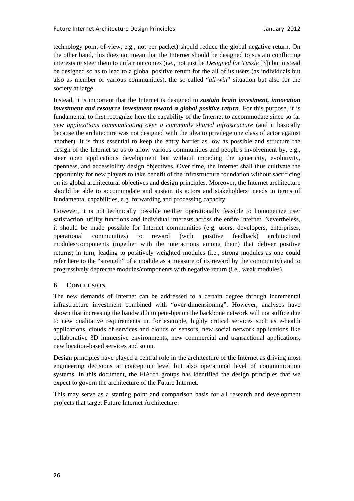technology point-of-view, e.g., not per packet) should reduce the global negative return. On the other hand, this does not mean that the Internet should be designed to sustain conflicting interests or steer them to unfair outcomes (i.e., not just be *Designed for Tussle* [3]) but instead be designed so as to lead to a global positive return for the all of its users (as individuals but also as member of various communities), the so-called "*all-win*" situation but also for the society at large.

Instead, it is important that the Internet is designed to *sustain brain investment, innovation investment and resource investment toward a global positive return*. For this purpose, it is fundamental to first recognize here the capability of the Internet to accommodate since so far *new applications communicating over a commonly shared infrastructure* (and it basically because the architecture was not designed with the idea to privilege one class of actor against another). It is thus essential to keep the entry barrier as low as possible and structure the design of the Internet so as to allow various communities and people's involvement by, e.g., steer open applications development but without impeding the genericity, evolutivity, openness, and accessibility design objectives. Over time, the Internet shall thus cultivate the opportunity for new players to take benefit of the infrastructure foundation without sacrificing on its global architectural objectives and design principles. Moreover, the Internet architecture should be able to accommodate and sustain its actors and stakeholders' needs in terms of fundamental capabilities, e.g. forwarding and processing capacity.

However, it is not technically possible neither operationally feasible to homogenize user satisfaction, utility functions and individual interests across the entire Internet. Nevertheless, it should be made possible for Internet communities (e.g. users, developers, enterprises, operational communities) to reward (with positive feedback) architectural modules/components (together with the interactions among them) that deliver positive returns; in turn, leading to positively weighted modules (i.e., strong modules as one could refer here to the "strength" of a module as a measure of its reward by the community) and to progressively deprecate modules/components with negative return (i.e., weak modules).

#### **6 CONCLUSION**

The new demands of Internet can be addressed to a certain degree through incremental infrastructure investment combined with "over-dimensioning". However, analyses have shown that increasing the bandwidth to peta-bps on the backbone network will not suffice due to new qualitative requirements in, for example, highly critical services such as e-health applications, clouds of services and clouds of sensors, new social network applications like collaborative 3D immersive environments, new commercial and transactional applications, new location-based services and so on.

Design principles have played a central role in the architecture of the Internet as driving most engineering decisions at conception level but also operational level of communication systems. In this document, the FIArch groups has identified the design principles that we expect to govern the architecture of the Future Internet.

This may serve as a starting point and comparison basis for all research and development projects that target Future Internet Architecture.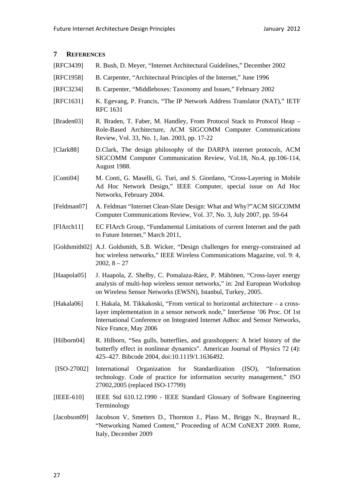## **7 REFERENCES**

- [RFC3439] R. Bush, D. Meyer, "Internet Architectural Guidelines," December 2002
- [RFC1958] B. Carpenter, "Architectural Principles of the Internet," June 1996
- [RFC3234] B. Carpenter, "Middleboxes: Taxonomy and Issues," February 2002
- [RFC1631] K. Egevang, P. Francis, "The IP Network Address Translator (NAT)," IETF RFC 1631
- [Braden03] R. Braden, T. Faber, M. Handley, From Protocol Stack to Protocol Heap Role-Based Architecture, ACM SIGCOMM Computer Communications Review, Vol. 33, No. 1, Jan. 2003, pp. 17-22
- [Clark88] D.Clark, The design philosophy of the DARPA internet protocols, ACM SIGCOMM Computer Communication Review, Vol.18, No.4, pp.106-114, August 1988.
- [Conti04] M. Conti, G. Maselli, G. Turi, and S. Giordano, "Cross-Layering in Mobile Ad Hoc Network Design," IEEE Computer, special issue on Ad Hoc Networks, February 2004.
- [Feldman07] A. Feldman "Internet Clean-Slate Design: What and Why?"ACM SIGCOMM Computer Communications Review, Vol. 37, No. 3, July 2007, pp. 59-64
- [FIArch11] EC FIArch Group, "Fundamental Limitations of current Internet and the path to Future Internet," March 2011,
- [Goldsmith02] A.J. Goldsmith, S.B. Wicker, "Design challenges for energy-constrained ad hoc wireless networks," IEEE Wireless Communications Magazine, vol. 9: 4,  $2002, 8 - 27$
- [Haapola05] J. Haapola, Z. Shelby, C. Pomalaza-Ráez, P. Mähönen, "Cross-layer energy analysis of multi-hop wireless sensor networks," in: 2nd European Workshop on Wireless Sensor Networks (EWSN), Istanbul, Turkey, 2005.
- [Hakala06] I. Hakala, M. Tikkakoski, "From vertical to horizontal architecture a crosslayer implementation in a sensor network node," InterSense '06 Proc. Of 1st International Conference on Integrated Internet Adhoc and Sensor Networks, Nice France, May 2006
- [Hilborn04] R. Hilborn, "Sea gulls, butterflies, and grasshoppers: A brief history of the butterfly effect in nonlinear dynamics". American Journal of Physics 72 (4): 425–427. Bibcode 2004, doi:10.1119/1.1636492.
- [ISO-27002] International Organization for Standardization (ISO), "Information technology. Code of practice for information security management," ISO 27002,2005 (replaced ISO-17799)
- [IEEE-610] IEEE Std 610.12.1990 IEEE Standard Glossary of Software Engineering Terminology
- [Jacobson09] Jacobson V, Smetters D., Thornton J., Plass M., Briggs N., Braynard R., "Networking Named Content," Proceeding of ACM CoNEXT 2009. Rome, Italy, December 2009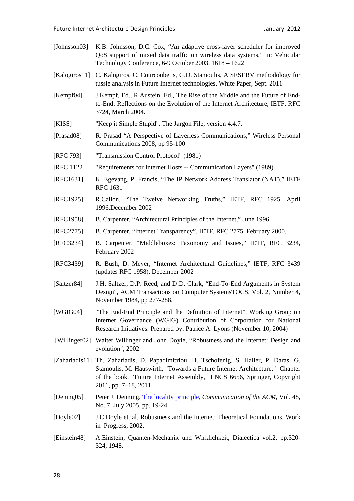[Johnsson03] K.B. Johnsson, D.C. Cox, "An adaptive cross-layer scheduler for improved QoS support of mixed data traffic on wireless data systems," in: Vehicular Technology Conference, 6-9 October 2003, 1618 – 1622 [Kalogiros11] C. Kalogiros, C. Courcoubetis, G.D. Stamoulis, A SESERV methodology for tussle analysis in Future Internet technologies, White Paper, Sept. 2011 [Kempf04] J.Kempf, Ed., R.Austein, Ed., The Rise of the Middle and the Future of Endto-End: Reflections on the Evolution of the Internet Architecture, IETF, RFC 3724, March 2004. [KISS] "Keep it Simple Stupid". The Jargon File, version 4.4.7. [Prasad08] R. Prasad "A Perspective of Layerless Communications," Wireless Personal Communications 2008, pp 95-100 [RFC 793] "Transmission Control Protocol" (1981) [RFC 1122] "Requirements for Internet Hosts -- Communication Layers" (1989). [RFC1631] K. Egevang, P. Francis, "The IP Network Address Translator (NAT)," IETF RFC 1631 [RFC1925] R.Callon, "The Twelve Networking Truths," IETF, RFC 1925, April 1996.December 2002 [RFC1958] B. Carpenter, "Architectural Principles of the Internet," June 1996 [RFC2775] B. Carpenter, "Internet Transparency", IETF, RFC 2775, February 2000. [RFC3234] B. Carpenter, "Middleboxes: Taxonomy and Issues," IETF, RFC 3234, February 2002 [RFC3439] R. Bush, D. Meyer, "Internet Architectural Guidelines," IETF, RFC 3439 (updates RFC 1958), December 2002 [Saltzer84] J.H. Saltzer, D.P. Reed, and D.D. Clark, "End-To-End Arguments in System Design", ACM Transactions on Computer SystemsTOCS, Vol. 2, Number 4, November 1984, pp 277-288. [WGIG04] "The End-End Principle and the Definition of Internet", Working Group on Internet Governance (WGIG) Contribution of Corporation for National Research Initiatives. Prepared by: Patrice A. Lyons (November 10, 2004) [Willinger02] Walter Willinger and John Doyle, "Robustness and the Internet: Design and evolution", 2002 [Zahariadis11] Th. Zahariadis, D. Papadimitriou, H. Tschofenig, S. Haller, P. Daras, G. Stamoulis, M. Hauswirth, "Towards a Future Internet Architecture," Chapter of the book, "Future Internet Assembly," LNCS 6656, Springer, Copyright 2011, pp. 7–18, 2011 [Dening05] Peter J. Denning, The locality principle, *Communication of the ACM*, Vol. 48, No. 7, July 2005, pp. 19-24 [Doyle02] J.C.Doyle et. al. Robustness and the Internet: Theoretical Foundations, Work in Progress, 2002. [Einstein48] A.Einstein, Quanten-Mechanik und Wirklichkeit, Dialectica vol.2, pp.320- 324, 1948.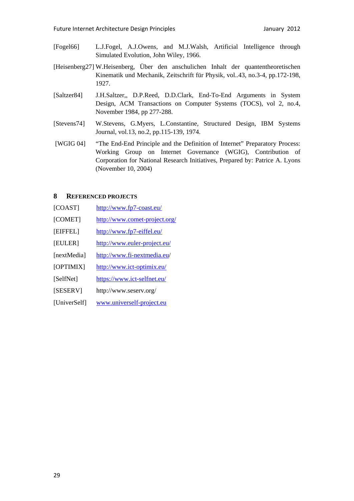- [Fogel66] L.J.Fogel, A.J.Owens, and M.J.Walsh, Artificial Intelligence through Simulated Evolution, John Wiley, 1966.
- [Heisenberg27] W.Heisenberg, Über den anschulichen Inhalt der quantentheoretischen Kinematik und Mechanik, Zeitschrift für Physik, vol..43, no.3-4, pp.172-198, 1927.
- [Saltzer84] J.H.Saltzer,, D.P.Reed, D.D.Clark, End-To-End Arguments in System Design, ACM Transactions on Computer Systems (TOCS), vol 2, no.4, November 1984, pp 277-288.
- [Stevens74] W.Stevens, G.Myers, L.Constantine, Structured Design, IBM Systems Journal, vol.13, no.2, pp.115-139, 1974.
- [WGIG 04] "The End-End Principle and the Definition of Internet" Preparatory Process: Working Group on Internet Governance (WGIG), Contribution of Corporation for National Research Initiatives, Prepared by: Patrice A. Lyons (November 10, 2004)

#### **8 REFERENCED PROJECTS**

- [COAST] http://www.fp7-coast.eu/
- [COMET] http://www.comet-project.org/
- [EIFFEL] http://www.fp7-eiffel.eu/
- [EULER] http://www.euler-project.eu/
- [nextMedia] http://www.fi-nextmedia.eu/
- [OPTIMIX] http://www.ict-optimix.eu/
- [SelfNet] https://www.ict-selfnet.eu/
- [SESERV] http://www.seserv.org/
- [UniverSelf] www.univerself-project.eu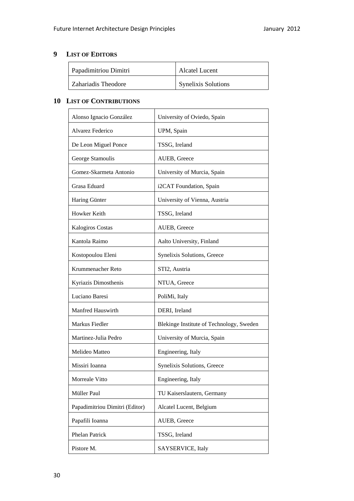# **9 LIST OF EDITORS**

| Papadimitriou Dimitri | Alcatel Lucent             |
|-----------------------|----------------------------|
| Zahariadis Theodore   | <b>Synelixis Solutions</b> |

# **10 LIST OF CONTRIBUTIONS**

| Alonso Ignacio González        | University of Oviedo, Spain              |
|--------------------------------|------------------------------------------|
| Alvarez Federico               | UPM, Spain                               |
| De Leon Miguel Ponce           | TSSG, Ireland                            |
| George Stamoulis               | AUEB, Greece                             |
| Gomez-Skarmeta Antonio         | University of Murcia, Spain              |
| Grasa Eduard                   | i2CAT Foundation, Spain                  |
| Haring Günter                  | University of Vienna, Austria            |
| Howker Keith                   | TSSG, Ireland                            |
| <b>Kalogiros Costas</b>        | AUEB, Greece                             |
| Kantola Raimo                  | Aalto University, Finland                |
| Kostopoulou Eleni              | Synelixis Solutions, Greece              |
| Krummenacher Reto              | STI2, Austria                            |
| Kyriazis Dimosthenis           | NTUA, Greece                             |
| Luciano Baresi                 | PoliMi, Italy                            |
| Manfred Hauswirth              | DERI, Ireland                            |
| Markus Fiedler                 | Blekinge Institute of Technology, Sweden |
| Martinez-Julia Pedro           | University of Murcia, Spain              |
| Melideo Matteo                 | Engineering, Italy                       |
| Missiri Ioanna                 | Synelixis Solutions, Greece              |
| Morreale Vitto                 | Engineering, Italy                       |
| Müller Paul                    | TU Kaiserslautern, Germany               |
| Papadimitriou Dimitri (Editor) | Alcatel Lucent, Belgium                  |
| Papafili Ioanna                | AUEB, Greece                             |
| Phelan Patrick                 | TSSG, Ireland                            |
| Pistore M.                     | SAYSERVICE, Italy                        |